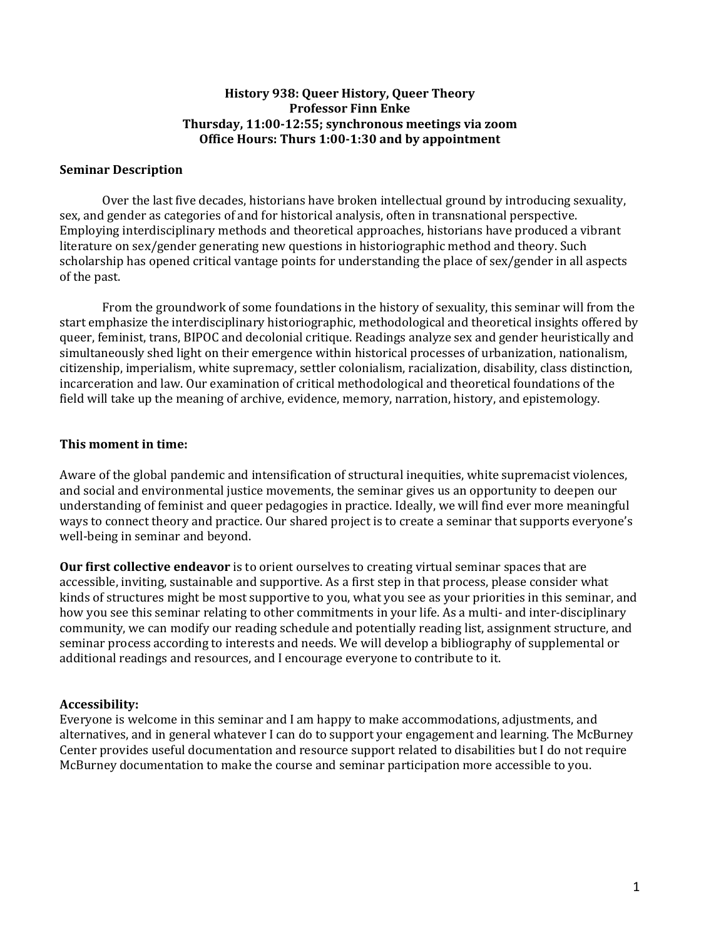#### **History 938: Queer History, Queer Theory Professor Finn Enke Thursday, 11:00‐12:55; synchronous meetings via zoom Office Hours: Thurs 1:00‐1:30 and by appointment**

#### **Seminar Description**

Over the last five decades, historians have broken intellectual ground by introducing sexuality, sex, and gender as categories of and for historical analysis, often in transnational perspective. Employing interdisciplinary methods and theoretical approaches, historians have produced a vibrant literature on sex/gender generating new questions in historiographic method and theory. Such scholarship has opened critical vantage points for understanding the place of sex/gender in all aspects of the past.

From the groundwork of some foundations in the history of sexuality, this seminar will from the start emphasize the interdisciplinary historiographic, methodological and theoretical insights offered by queer, feminist, trans, BIPOC and decolonial critique. Readings analyze sex and gender heuristically and simultaneously shed light on their emergence within historical processes of urbanization, nationalism, citizenship, imperialism, white supremacy, settler colonialism, racialization, disability, class distinction, incarceration and law. Our examination of critical methodological and theoretical foundations of the field will take up the meaning of archive, evidence, memory, narration, history, and epistemology.

#### **This moment in time:**

Aware of the global pandemic and intensification of structural inequities, white supremacist violences, and social and environmental justice movements, the seminar gives us an opportunity to deepen our understanding of feminist and queer pedagogies in practice. Ideally, we will find ever more meaningful ways to connect theory and practice. Our shared project is to create a seminar that supports everyone's well-being in seminar and beyond.

**Our first collective endeavor** is to orient ourselves to creating virtual seminar spaces that are accessible, inviting, sustainable and supportive. As a first step in that process, please consider what kinds of structures might be most supportive to you, what you see as your priorities in this seminar, and how you see this seminar relating to other commitments in your life. As a multi- and inter-disciplinary community, we can modify our reading schedule and potentially reading list, assignment structure, and seminar process according to interests and needs. We will develop a bibliography of supplemental or additional readings and resources, and I encourage everyone to contribute to it.

### **Accessibility:**

Everyone is welcome in this seminar and I am happy to make accommodations, adjustments, and alternatives, and in general whatever I can do to support your engagement and learning. The McBurney Center provides useful documentation and resource support related to disabilities but I do not require McBurney documentation to make the course and seminar participation more accessible to you.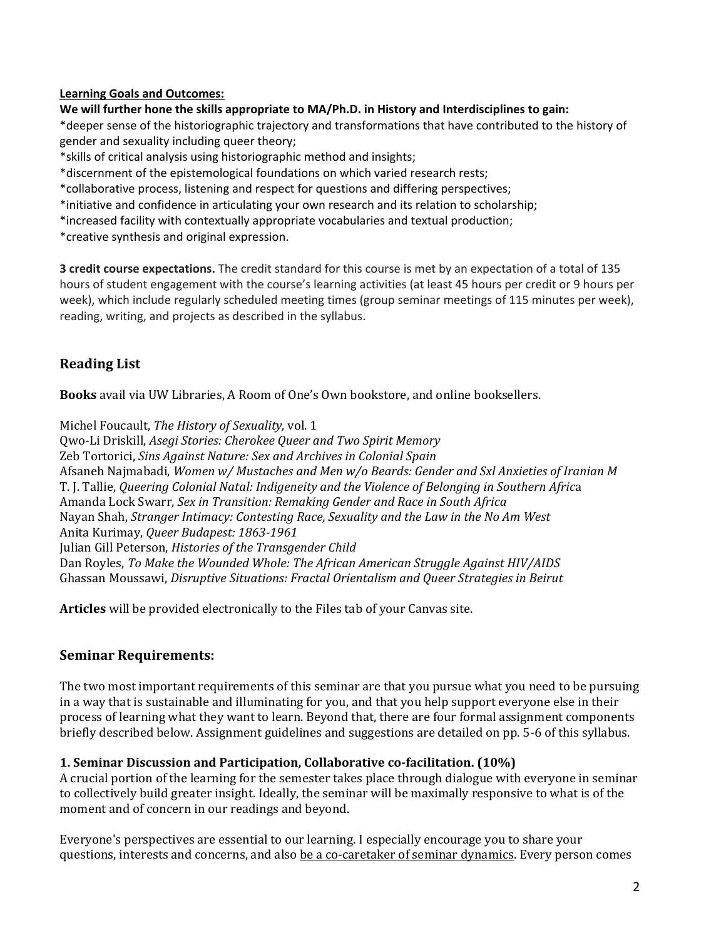#### **Learning Goals and Outcomes:**

#### **We will further hone the skills appropriate to MA/Ph.D. in History and Interdisciplines to gain:**

\*deeper sense of the historiographic trajectory and transformations that have contributed to the history of gender and sexuality including queer theory;

\*skills of critical analysis using historiographic method and insights;

\*discernment of the epistemological foundations on which varied research rests;

\*collaborative process, listening and respect for questions and differing perspectives;

\*initiative and confidence in articulating your own research and its relation to scholarship;

\*increased facility with contextually appropriate vocabularies and textual production;

\*creative synthesis and original expression.

**3 credit course expectations.** The credit standard for this course is met by an expectation of a total of 135 hours of student engagement with the course's learning activities (at least 45 hours per credit or 9 hours per week), which include regularly scheduled meeting times (group seminar meetings of 115 minutes per week), reading, writing, and projects as described in the syllabus.

# **Reading List**

**Books** avail via UW Libraries, A Room of One's Own bookstore, and online booksellers.

Michel Foucault, *The History of Sexuality,* vol. 1 Qwo-Li Driskill, *Asegi Stories: Cherokee Queer and Two Spirit Memory* Zeb Tortorici, *Sins Against Nature: Sex and Archives in Colonial Spain* Afsaneh Najmabadi, *Women w/ Mustaches and Men w/o Beards: Gender and Sxl Anxieties of Iranian M* T. J. Tallie, *Queering Colonial Natal: Indigeneity and the Violence of Belonging in Southern Afric*a Amanda Lock Swarr, *Sex in Transition: Remaking Gender and Race in South Africa* Nayan Shah, *Stranger Intimacy: Contesting Race, Sexuality and the Law in the No Am West* Anita Kurimay, *Queer Budapest: 1863‐1961* Julian Gill Peterson, *Histories of the Transgender Child* Dan Royles, *To Make the Wounded Whole: The African American Struggle Against HIV/AIDS* Ghassan Moussawi, *Disruptive Situations: Fractal Orientalism and Queer Strategies in Beirut*

**Articles** will be provided electronically to the Files tab of your Canvas site.

## **Seminar Requirements:**

The two most important requirements of this seminar are that you pursue what you need to be pursuing in a way that is sustainable and illuminating for you, and that you help support everyone else in their process of learning what they want to learn. Beyond that, there are four formal assignment components briefly described below. Assignment guidelines and suggestions are detailed on pp. 5-6 of this syllabus.

### **1. Seminar Discussion and Participation, Collaborative co‐facilitation. (10%)**

A crucial portion of the learning for the semester takes place through dialogue with everyone in seminar to collectively build greater insight. Ideally, the seminar will be maximally responsive to what is of the moment and of concern in our readings and beyond.

Everyone's perspectives are essential to our learning. I especially encourage you to share your questions, interests and concerns, and also be a co-caretaker of seminar dynamics. Every person comes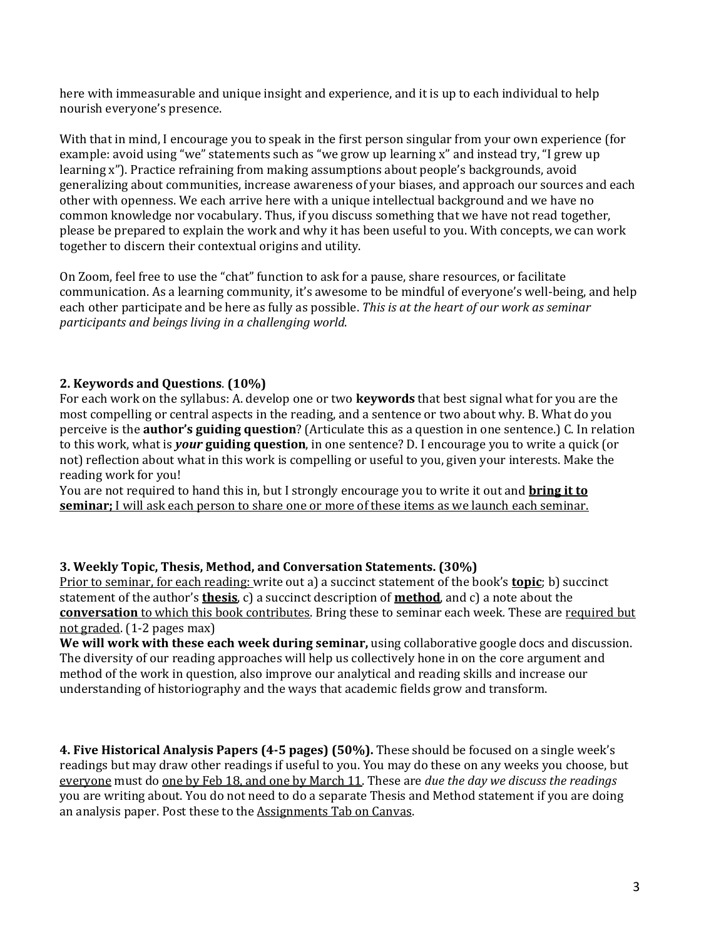here with immeasurable and unique insight and experience, and it is up to each individual to help nourish everyone's presence.

With that in mind, I encourage you to speak in the first person singular from your own experience (for example: avoid using "we" statements such as "we grow up learning x" and instead try, "I grew up learning x"). Practice refraining from making assumptions about people's backgrounds, avoid generalizing about communities, increase awareness of your biases, and approach our sources and each other with openness. We each arrive here with a unique intellectual background and we have no common knowledge nor vocabulary. Thus, if you discuss something that we have not read together, please be prepared to explain the work and why it has been useful to you. With concepts, we can work together to discern their contextual origins and utility.

On Zoom, feel free to use the "chat" function to ask for a pause, share resources, or facilitate communication. As a learning community, it's awesome to be mindful of everyone's well-being, and help each other participate and be here as fully as possible. *This is at the heart of our work as seminar participants and beings living in a challenging world*.

## **2. Keywords and Questions**. **(10%)**

For each work on the syllabus: A. develop one or two **keywords** that best signal what for you are the most compelling or central aspects in the reading, and a sentence or two about why. B. What do you perceive is the **author's guiding question**? (Articulate this as a question in one sentence.) C. In relation to this work, what is *your* **guiding question**, in one sentence? D. I encourage you to write a quick (or not) reflection about what in this work is compelling or useful to you, given your interests. Make the reading work for you!

You are not required to hand this in, but I strongly encourage you to write it out and **bring it to seminar;** I will ask each person to share one or more of these items as we launch each seminar.

### **3. Weekly Topic, Thesis, Method, and Conversation Statements. (30%)**

Prior to seminar, for each reading: write out a) a succinct statement of the book's **topic**; b) succinct statement of the author's **thesis**, c) a succinct description of **method**, and c) a note about the **conversation** to which this book contributes. Bring these to seminar each week*.* These are required but not graded. (1-2 pages max)

**We will work with these each week during seminar,** using collaborative google docs and discussion. The diversity of our reading approaches will help us collectively hone in on the core argument and method of the work in question, also improve our analytical and reading skills and increase our understanding of historiography and the ways that academic fields grow and transform.

**4. Five Historical Analysis Papers (4‐5 pages) (50%).** These should be focused on a single week's readings but may draw other readings if useful to you. You may do these on any weeks you choose, but everyone must do one by Feb 18, and one by March 11. These are *due the day we discuss the readings* you are writing about. You do not need to do a separate Thesis and Method statement if you are doing an analysis paper. Post these to the Assignments Tab on Canvas.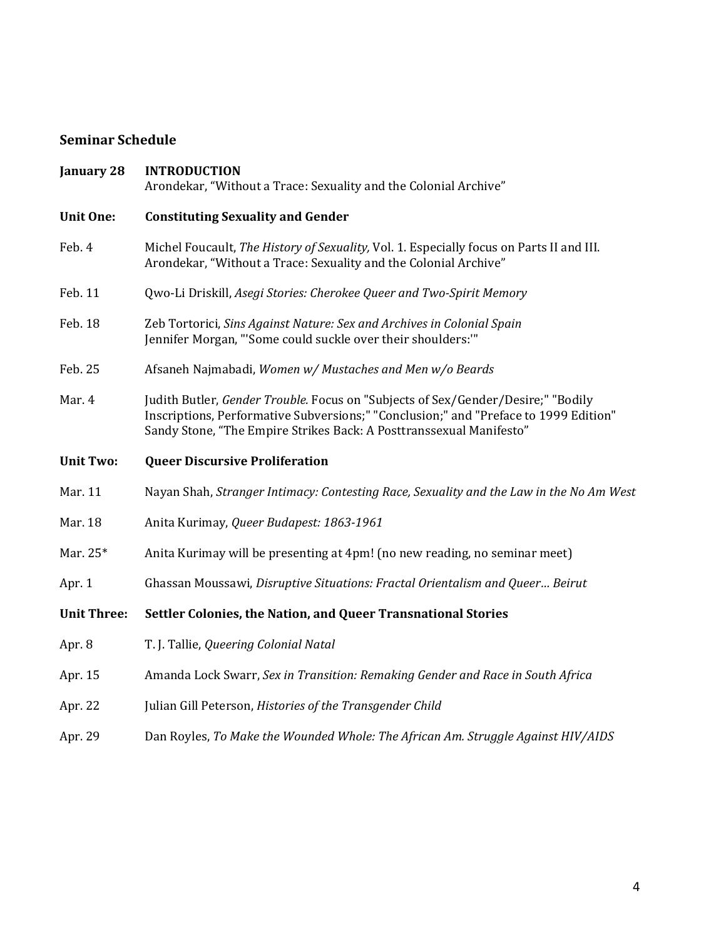# **Seminar Schedule**

| <b>January 28</b>  | <b>INTRODUCTION</b><br>Arondekar, "Without a Trace: Sexuality and the Colonial Archive"                                                                                                                                                         |
|--------------------|-------------------------------------------------------------------------------------------------------------------------------------------------------------------------------------------------------------------------------------------------|
| <b>Unit One:</b>   | <b>Constituting Sexuality and Gender</b>                                                                                                                                                                                                        |
| Feb. 4             | Michel Foucault, The History of Sexuality, Vol. 1. Especially focus on Parts II and III.<br>Arondekar, "Without a Trace: Sexuality and the Colonial Archive"                                                                                    |
| Feb. 11            | Qwo-Li Driskill, Asegi Stories: Cherokee Queer and Two-Spirit Memory                                                                                                                                                                            |
| Feb. 18            | Zeb Tortorici, Sins Against Nature: Sex and Archives in Colonial Spain<br>Jennifer Morgan, "'Some could suckle over their shoulders:"                                                                                                           |
| Feb. 25            | Afsaneh Najmabadi, Women w/ Mustaches and Men w/o Beards                                                                                                                                                                                        |
| Mar. 4             | Judith Butler, Gender Trouble. Focus on "Subjects of Sex/Gender/Desire;" "Bodily<br>Inscriptions, Performative Subversions;" "Conclusion;" and "Preface to 1999 Edition"<br>Sandy Stone, "The Empire Strikes Back: A Posttranssexual Manifesto" |
| <b>Unit Two:</b>   | <b>Queer Discursive Proliferation</b>                                                                                                                                                                                                           |
| Mar. 11            | Nayan Shah, Stranger Intimacy: Contesting Race, Sexuality and the Law in the No Am West                                                                                                                                                         |
| Mar. 18            | Anita Kurimay, Queer Budapest: 1863-1961                                                                                                                                                                                                        |
| Mar. 25*           | Anita Kurimay will be presenting at 4pm! (no new reading, no seminar meet)                                                                                                                                                                      |
| Apr. 1             | Ghassan Moussawi, Disruptive Situations: Fractal Orientalism and Queer Beirut                                                                                                                                                                   |
| <b>Unit Three:</b> | Settler Colonies, the Nation, and Queer Transnational Stories                                                                                                                                                                                   |
| Apr. 8             | T. J. Tallie, Queering Colonial Natal                                                                                                                                                                                                           |
| Apr. 15            | Amanda Lock Swarr, Sex in Transition: Remaking Gender and Race in South Africa                                                                                                                                                                  |
| Apr. 22            | Julian Gill Peterson, Histories of the Transgender Child                                                                                                                                                                                        |
| Apr. 29            | Dan Royles, To Make the Wounded Whole: The African Am. Struggle Against HIV/AIDS                                                                                                                                                                |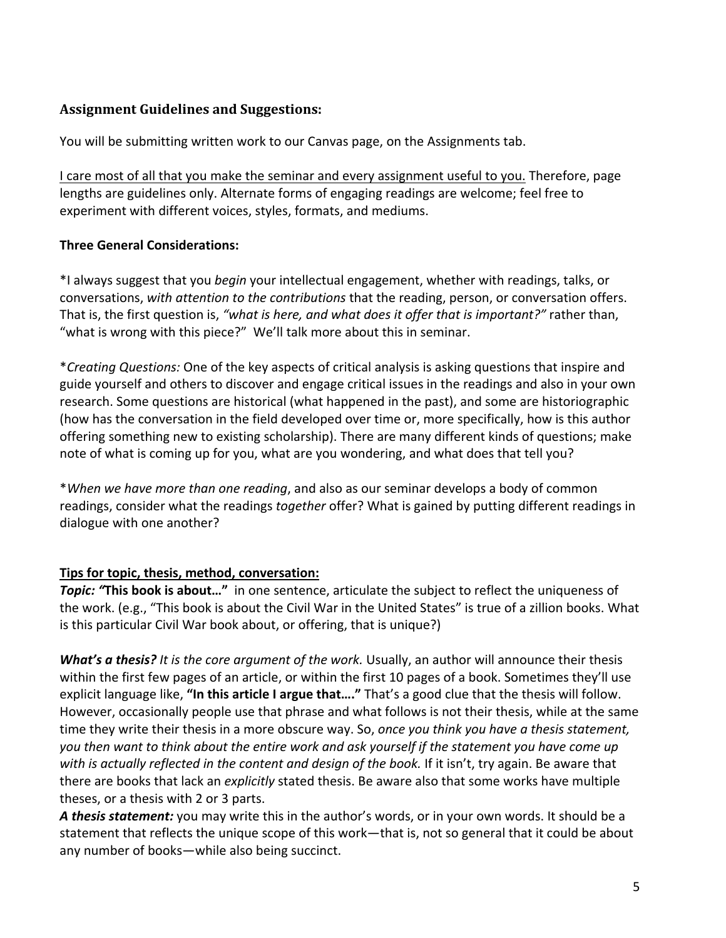# **Assignment Guidelines and Suggestions:**

You will be submitting written work to our Canvas page, on the Assignments tab.

I care most of all that you make the seminar and every assignment useful to you. Therefore, page lengths are guidelines only. Alternate forms of engaging readings are welcome; feel free to experiment with different voices, styles, formats, and mediums.

## **Three General Considerations:**

\*I always suggest that you *begin* your intellectual engagement, whether with readings, talks, or conversations, *with attention to the contributions* that the reading, person, or conversation offers. That is, the first question is, *"what is here, and what does it offer that is important?"* rather than, "what is wrong with this piece?" We'll talk more about this in seminar.

\**Creating Questions:* One of the key aspects of critical analysis is asking questions that inspire and guide yourself and others to discover and engage critical issues in the readings and also in your own research. Some questions are historical (what happened in the past), and some are historiographic (how has the conversation in the field developed over time or, more specifically, how is this author offering something new to existing scholarship). There are many different kinds of questions; make note of what is coming up for you, what are you wondering, and what does that tell you?

\**When we have more than one reading*, and also as our seminar develops a body of common readings, consider what the readings *together* offer? What is gained by putting different readings in dialogue with one another?

## **Tips for topic, thesis, method, conversation:**

*Topic: "***This book is about…"** in one sentence, articulate the subject to reflect the uniqueness of the work. (e.g., "This book is about the Civil War in the United States" is true of a zillion books. What is this particular Civil War book about, or offering, that is unique?)

*What's a thesis? It is the core argument of the work.* Usually, an author will announce their thesis within the first few pages of an article, or within the first 10 pages of a book. Sometimes they'll use explicit language like, **"In this article I argue that…."** That's a good clue that the thesis will follow. However, occasionally people use that phrase and what follows is not their thesis, while at the same time they write their thesis in a more obscure way. So, *once you think you have a thesis statement,* you then want to think about the entire work and ask yourself if the statement you have come up *with is actually reflected in the content and design of the book.* If it isn't, try again. Be aware that there are books that lack an *explicitly* stated thesis. Be aware also that some works have multiple theses, or a thesis with 2 or 3 parts.

*A thesis statement:* you may write this in the author's words, or in your own words. It should be a statement that reflects the unique scope of this work—that is, not so general that it could be about any number of books—while also being succinct.